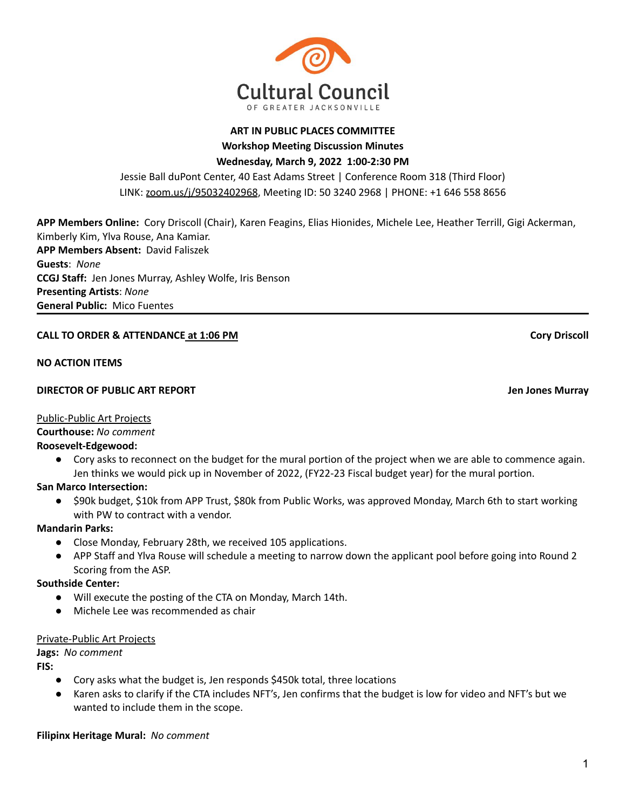**Workshop Meeting Discussion Minutes Wednesday, March 9, 2022 1:00-2:30 PM**

Jessie Ball duPont Center, 40 East Adams Street | Conference Room 318 (Third Floor) LINK: [zoom.us/j/95032402968](https://zoom.us/j/95032402968), Meeting ID: 50 3240 2968 | PHONE: +1 646 558 8656

**APP Members Online:** Cory Driscoll (Chair), Karen Feagins, Elias Hionides, Michele Lee, Heather Terrill, Gigi Ackerman, Kimberly Kim, Ylva Rouse, Ana Kamiar. **APP Members Absent:** David Faliszek **Guests**: *None* **CCGJ Staff:** Jen Jones Murray, Ashley Wolfe, Iris Benson **Presenting Artists**: *None* **General Public:** Mico Fuentes

# **CALL TO ORDER & ATTENDANCE at 1:06 PM Cory Driscoll**

## **NO ACTION ITEMS**

## **DIRECTOR OF PUBLIC ART REPORT Jen Jones Murray**

## Public-Public Art Projects

**Courthouse:** *No comment*

## **Roosevelt-Edgewood:**

● Cory asks to reconnect on the budget for the mural portion of the project when we are able to commence again. Jen thinks we would pick up in November of 2022, (FY22-23 Fiscal budget year) for the mural portion.

**San Marco Intersection:**

● \$90k budget, \$10k from APP Trust, \$80k from Public Works, was approved Monday, March 6th to start working with PW to contract with a vendor.

## **Mandarin Parks:**

- Close Monday, February 28th, we received 105 applications.
- APP Staff and Ylva Rouse will schedule a meeting to narrow down the applicant pool before going into Round 2 Scoring from the ASP.

## **Southside Center:**

- Will execute the posting of the CTA on Monday, March 14th.
- Michele Lee was recommended as chair

## Private-Public Art Projects

**Jags:** *No comment*

**FIS:**

- Cory asks what the budget is, Jen responds \$450k total, three locations
- Karen asks to clarify if the CTA includes NFT's, Jen confirms that the budget is low for video and NFT's but we wanted to include them in the scope.

# **Filipinx Heritage Mural:** *No comment*

**ART IN PUBLIC PLACES COMMITTEE**